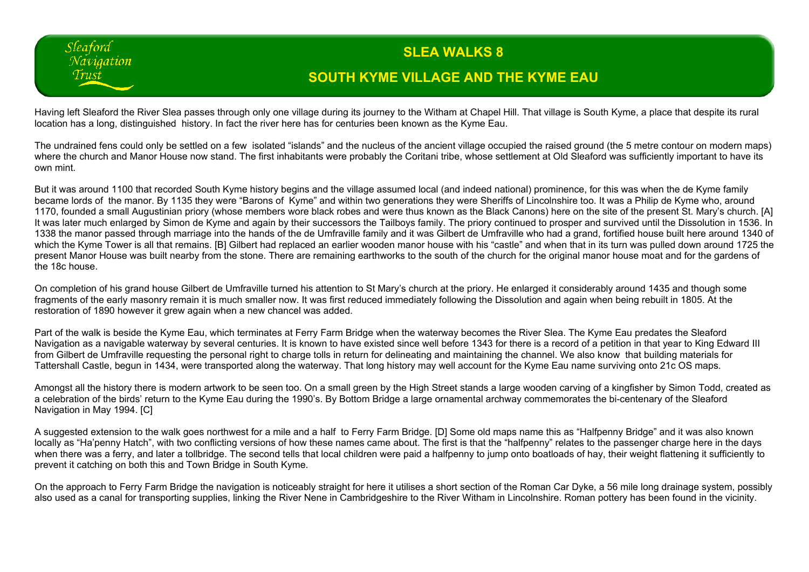## **SLEA WALKS 8 SOUTH KYME VILLAGE AND THE KYME EAU**

Having left Sleaford the River Slea passes through only one village during its journey to the Witham at Chapel Hill. That village is South Kyme, a place that despite its rural location has a long, distinguished history. In fact the river here has for centuries been known as the Kyme Eau.

Sleaford Navigation Trust

The undrained fens could only be settled on a few isolated "islands" and the nucleus of the ancient village occupied the raised ground (the 5 metre contour on modern maps) where the church and Manor House now stand. The first inhabitants were probably the Coritani tribe, whose settlement at Old Sleaford was sufficiently important to have its own mint.

But it was around 1100 that recorded South Kyme history begins and the village assumed local (and indeed national) prominence, for this was when the de Kyme family became lords of the manor. By 1135 they were "Barons of Kyme" and within two generations they were Sheriffs of Lincolnshire too. It was a Philip de Kyme who, around 1170, founded a small Augustinian priory (whose members wore black robes and were thus known as the Black Canons) here on the site of the present St. Mary's church. [A] It was later much enlarged by Simon de Kyme and again by their successors the Tailboys family. The priory continued to prosper and survived until the Dissolution in 1536. In 1338 the manor passed through marriage into the hands of the de Umfraville family and it was Gilbert de Umfraville who had a grand, fortified house built here around 1340 of which the Kyme Tower is all that remains. [B] Gilbert had replaced an earlier wooden manor house with his "castle" and when that in its turn was pulled down around 1725 the present Manor House was built nearby from the stone. There are remaining earthworks to the south of the church for the original manor house moat and for the gardens of the 18c house.

On completion of his grand house Gilbert de Umfraville turned his attention to St Mary's church at the priory. He enlarged it considerably around 1435 and though some fragments of the early masonry remain it is much smaller now. It was first reduced immediately following the Dissolution and again when being rebuilt in 1805. At the restoration of 1890 however it grew again when a new chancel was added.

Part of the walk is beside the Kyme Eau, which terminates at Ferry Farm Bridge when the waterway becomes the River Slea. The Kyme Eau predates the Sleaford Navigation as a navigable waterway by several centuries. It is known to have existed since well before 1343 for there is a record of a petition in that year to King Edward III from Gilbert de Umfraville requesting the personal right to charge tolls in return for delineating and maintaining the channel. We also know that building materials for Tattershall Castle, begun in 1434, were transported along the waterway. That long history may well account for the Kyme Eau name surviving onto 21c OS maps.

Amongst all the history there is modern artwork to be seen too. On a small green by the High Street stands a large wooden carving of a kingfisher by Simon Todd, created as a celebration of the birds' return to the Kyme Eau during the 1990's. By Bottom Bridge a large ornamental archway commemorates the bi-centenary of the Sleaford Navigation in May 1994. [C]

A suggested extension to the walk goes northwest for a mile and a half to Ferry Farm Bridge. [D] Some old maps name this as "Halfpenny Bridge" and it was also known locally as "Ha'penny Hatch", with two conflicting versions of how these names came about. The first is that the "halfpenny" relates to the passenger charge here in the days when there was a ferry, and later a tollbridge. The second tells that local children were paid a halfpenny to jump onto boatloads of hay, their weight flattening it sufficiently to prevent it catching on both this and Town Bridge in South Kyme.

On the approach to Ferry Farm Bridge the navigation is noticeably straight for here it utilises a short section of the Roman Car Dyke, a 56 mile long drainage system, possibly also used as a canal for transporting supplies, linking the River Nene in Cambridgeshire to the River Witham in Lincolnshire. Roman pottery has been found in the vicinity.